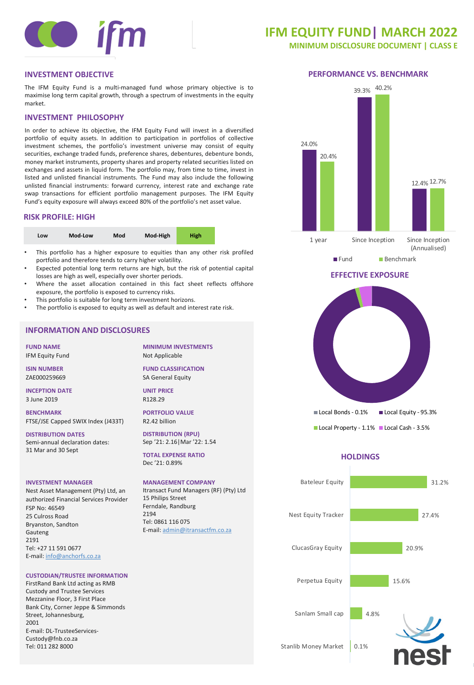

# **IFM EQUITY FUND| MARCH 2022**

**MINIMUM DISCLOSURE DOCUMENT | CLASS E**

The IFM Equity Fund is a multi-managed fund whose primary objective is to maximise long term capital growth, through a spectrum of investments in the equity market.

# **INVESTMENT PHILOSOPHY**

In order to achieve its objective, the IFM Equity Fund will invest in a diversified portfolio of equity assets. In addition to participation in portfolios of collective investment schemes, the portfolio's investment universe may consist of equity securities, exchange traded funds, preference shares, debentures, debenture bonds, money market instruments, property shares and property related securities listed on exchanges and assets in liquid form. The portfolio may, from time to time, invest in listed and unlisted financial instruments. The Fund may also include the following unlisted financial instruments: forward currency, interest rate and exchange rate swap transactions for efficient portfolio management purposes. The IFM Equity Fund's equity exposure will always exceed 80% of the portfolio's net asset value.

# **RISK PROFILE: HIGH**

| Low | Mod-Low | Mod | Mod-High | High |  |
|-----|---------|-----|----------|------|--|
|-----|---------|-----|----------|------|--|

- This portfolio has a higher exposure to equities than any other risk profiled portfolio and therefore tends to carry higher volatility.
- Expected potential long term returns are high, but the risk of potential capital losses are high as well, especially over shorter periods.
- Where the asset allocation contained in this fact sheet reflects offshore exposure, the portfolio is exposed to currency risks.
- This portfolio is suitable for long term investment horizons.
- The portfolio is exposed to equity as well as default and interest rate risk.

# **INFORMATION AND DISCLOSURES**

**FUND NAME** IFM Equity Fund

**ISIN NUMBER** ZAE000259669

**INCEPTION DATE** 3 June 2019

**BENCHMARK** FTSE/JSE Capped SWIX Index (J433T)

**DISTRIBUTION DATES** Semi-annual declaration dates: 31 Mar and 30 Sept

#### **INVESTMENT MANAGER**

Nest Asset Management (Pty) Ltd, an authorized Financial Services Provider FSP No: 46549 25 Culross Road Bryanston, Sandton Gauteng 2191 Tel: +27 11 591 0677 E-mail: [info@anchorfs.co.za](mailto:info@anchorfs.co.za)

# **CUSTODIAN/TRUSTEE INFORMATION**

FirstRand Bank Ltd acting as RMB Custody and Trustee Services Mezzanine Floor, 3 First Place Bank City, Corner Jeppe & Simmonds Street, Johannesburg, 2001 E-mail: DL-TrusteeServices-Custody@fnb.co.za Tel: 011 282 8000

**MINIMUM INVESTMENTS** Not Applicable

**FUND CLASSIFICATION** SA General Equity

**UNIT PRICE** R128.29

**PORTFOLIO VALUE** R2.42 billion

**DISTRIBUTION (RPU)** Sep '21: 2.16|Mar '22: 1.54

**TOTAL EXPENSE RATIO** Dec '21: 0.89%

# **MANAGEMENT COMPANY**

Itransact Fund Managers (RF) (Pty) Ltd 15 Philips Street Ferndale, Randburg 2194 Tel: 0861 116 075 E-mail: [admin@itransactfm.co.za](mailto:admin@itransactfm.co.za)









# **EFFECTIVE EXPOSURE**



# **HOLDINGS**



0.1% Stanlib Money Market